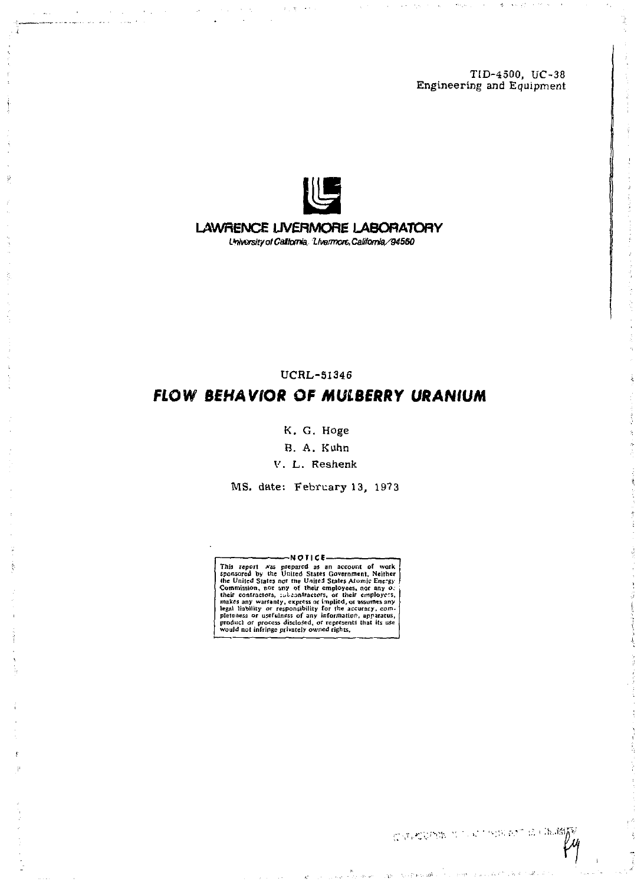TiD-4500, UC-38 Engineering and Equipment



LAWRENCE UVERMORE LABORATORY *L'ntoxsityotCaStomia, tivBrrncittCa}ifomle/945G0* 

UCRL-51346

# *FLOW BEHAVIOR OF MULBERRY URANIUM*

K. G. *Hoge* 

B. A. Kuhn

V. L. Reshenk

MS. date: February 13, 1973

This report was prepared as an account of work<br>primer and primer and primer and the United States Government, Neither<br>the United States nor the United States Atomic Energy of<br>Commission, nor any of their employees, nor any

COUNTRY NO AT SINEY IS CHANGE

**Second Literature**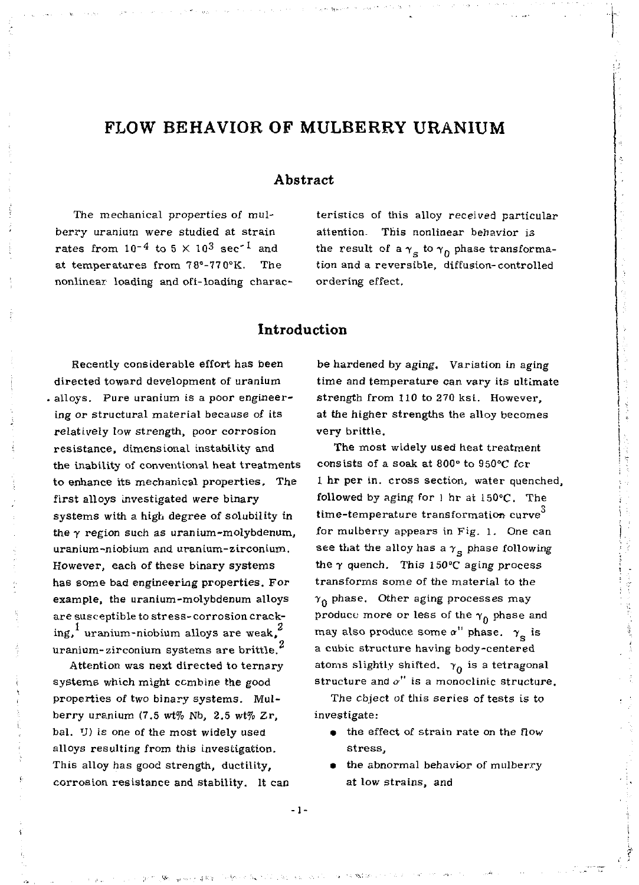# FLOW BEHAVIOR OF MULBERRY URANIUM

The mechanical properties of mulberry uranium were studied at strain rates from  $10^{-4}$  to  $5 \times 10^{3}$  sec<sup>-1</sup> and at temperatures from 78°-77 0°K. The nonlinear loading and off-loading charac-

### Abstract

teristics of this alloy received particular attention. This nonlinear behavior is the result of a  $\gamma_{\rm g}$  to  $\gamma_{\rm n}$  phase transformation and a reversible, diffusion-controlled ordering effect.

### Introduction

Recently considerable effort has been directed toward development of uranium alloys. Pure uranium is a poor engineering or structural material because of its relatively low strength, poor corrosion resistance, dimensional instability and the inability of conventional heat treatments to enhance its mechanical properties. The first alloys investigated were binary systems with a high degree of solubility in the *y* region such as uranium-molybdenum, uranium-niobium and uranium-zirconium. However, each of these binary systems has some bad engineering properties. For example, the uranium-molybdenum alloys are susceptible to stress-corrosion cracking,<sup>1</sup> uranium-niobium alloys are weak,<sup>2</sup> uranium-zirconium systems are brittle.

Attention was next directed to ternary systems which might combine the good properties of two binary systems. Mulberry uranium (7.5 wt% Nb, 2.5 wt% Zr, bal. U) is one of the most widely used alloys resulting from this investigation. This alloy has good strength, ductility, corrosion resistance and stability. It can

be hardened by aging. Variation in aging time and temperature can vary its ultimate strength from 110 to 270 ksi. However, at the higher strengths the alloy becomes very brittle.

The most widely used heat treatment consists of a soak at 800° to 950°C for 1 hr per in. cross section, water quenched, followed by aging for 1 hr at 150°C. The time-temperature transformation curve<sup>3</sup> for mulberry appears in Fig. l. One can see that the alloy has a  $\gamma_{\rm g}$  phase following the  $\gamma$  quench. This 150°C aging process transforms some of the material to the  $\gamma_0$  phase. Other aging processes may produce more or less of the  $\gamma_{0}$  phase and may also produce some *a"* phase, *y* is a cubic structure having body-centered atoms slightly shifted.  $\gamma_0$  is a tetragonal structure and *a"* is a monoclinic structure.

The chiect of this series of tests is to investigate:

- the effect of strain rate on the flow stress,
- the abnormal behavior of mulberry at low strains, and

 $-1 -$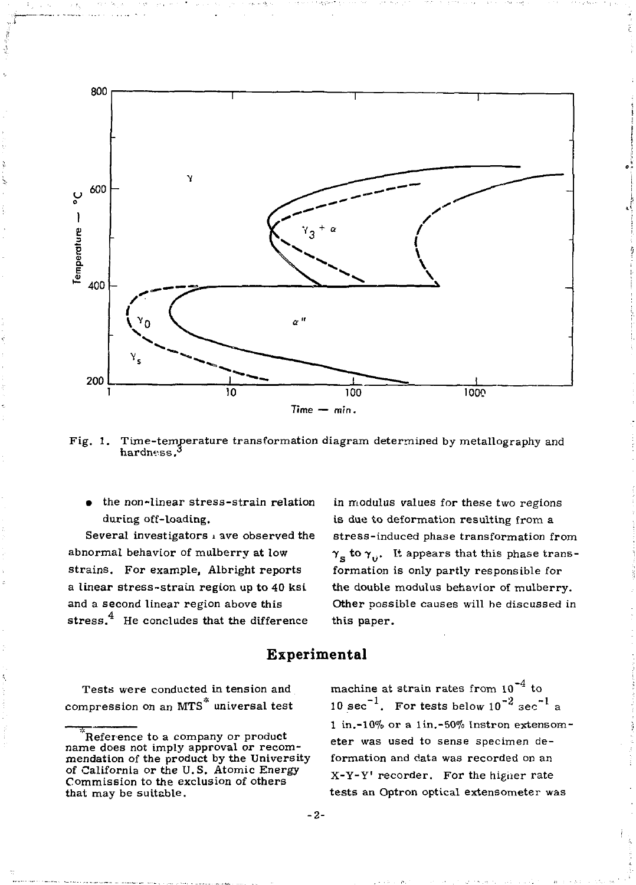

Fig. 1. Time-temperature transformation diagram determined by metallography and hardness. $3$ 

the non-linear stress-strain relation during off-loading.

Several investigators i ave observed the abnormal behavior of mulberry at low strains. For example, Albright reports a linear stress-strain region up to 40 ksi and a second linear region above this stress.<sup>4</sup> He concludes that the difference

in modulus values for these two regions is due to deformation resulting from a stress-induced phase transformation from  $\gamma_{\rm c}$  to  $\gamma_{\rm u}$ . It appears that this phase transformation is only partly responsible for the double modulus behavior of mulberry. Other possible causes will be discussed in this paper.

### **Experimental**

Tests were conducted intension and compression on an  $MTS^*$  universal test

machine at strain rates from  $10^{-4}$  to 10 sec<sup>-1</sup>. For tests below  $10^{-2}$  sec<sup>-1</sup> a 1 in.-10% or a lin.-50% Instron extensometer was used to sense specimen deformation and data was recorded on an X-Y-Y' recorder. For the higher rate tests an Optron optical extensometer was

Reference to a company or product name does not imply approval or recommendation of the product by the University of California or the U.S. Atomic Energy Commission to the exclusion of others that may be suitable.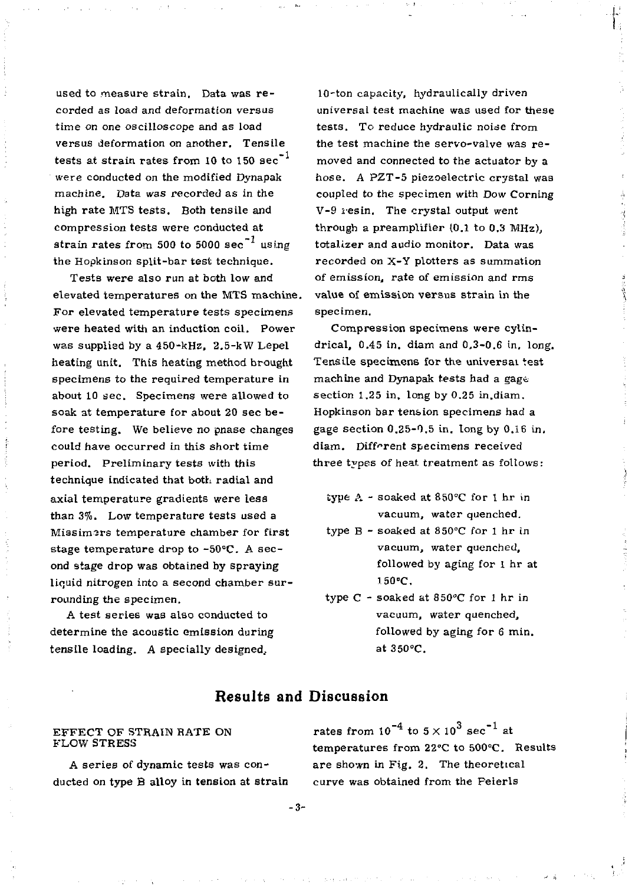used to measure strain. Data was recorded as load and deformation versus time on one oscilloscope and as load versus deformation on another. Tensile tests at strain rates from 10 to 150  $\mathrm{sec}^{-1}$ were conducted on the modified Dynapak machine. Data was recorded as in the high rate MTS tests. Both tensile and compression tests were conducted at strain rates from 500 to 5000 sec<sup>-1</sup> using the Hopkinson split-bar test technique.

Tests were also run at both low and elevated temperatures on the MTS machine. For elevated temperature tests specimens were heated with an induction coil. Power was supplied by a 450-kHz, 2.5-kW Lepel heating unit. This heating method brought specimens to the required temperature in about 10 sec. Specimens were allowed to soak at temperature for about 20 sec before testing. We believe no pnase changes could have occurred in this short time period. Preliminary tests with this technique indicated that both radial and axial temperature gradients were less than 3%. Low temperature tests used a Missimers temperature chamber for first stage temperature drop to  $-50^{\circ}$ C. A second stage drop was obtained by spraying liquid nitrogen into a second chamber surrounding the specimen.

A test series was also conducted to determine the acoustic emission during tensile loading. A specially designed..

10-ton capacity, hydraulically driven universal test machine was used for these tests. To reduce hydraulic noise from the test machine the servo-valve was re moved and connected to the actuator by a hose. A PZT-5 piezoelectric crystal was coupled to the specimen with Dow Corning V-9 resin. The crystal output went through a preamplifier (0.1 to 0.3 MHz), totalizer and audio monitor. Data was recorded on X-Y plotters as summation of emission, rate of emission and rms value of emission versus strain in the specimen.

Compression specimens were cylindrical, 0.45 in. diam and 0.3-0.6 in. long. Tensile specimens for the universal test machine and Dynapak tests had a gage section 1.25 in. long by 0.25 in.diam. Hopkinson bar tension specimens had a gage section 0.25-0.5 in. long by 0.16 in, diam. Different specimens received three types of heat treatment as follows:

- type A soaked at 850°C for 1 hr in vacuum, water quenched.
- type B soaked at 850°C for 1 hr in vacuum, water quenched, followed by aging for 1 hr at !50°C.
- type C soaked at 850°C for 1 hr in vacuum, water quenched, followed by aging for 6 min. at 350°C.

## Results and Discussion

#### EFFECT OF STRAIN RATE ON FLOW STRESS

A series of dynamic tests was conducted on type B alloy in tension at strain

rates from  $10^{-4}$  to  $5 \times 10^{3}$  sec<sup>-1</sup> at temperatures from 22°C to 500°C. Results are shown in Fig. 2. The theoretical curve was obtained from the Feierls

**- 3 -**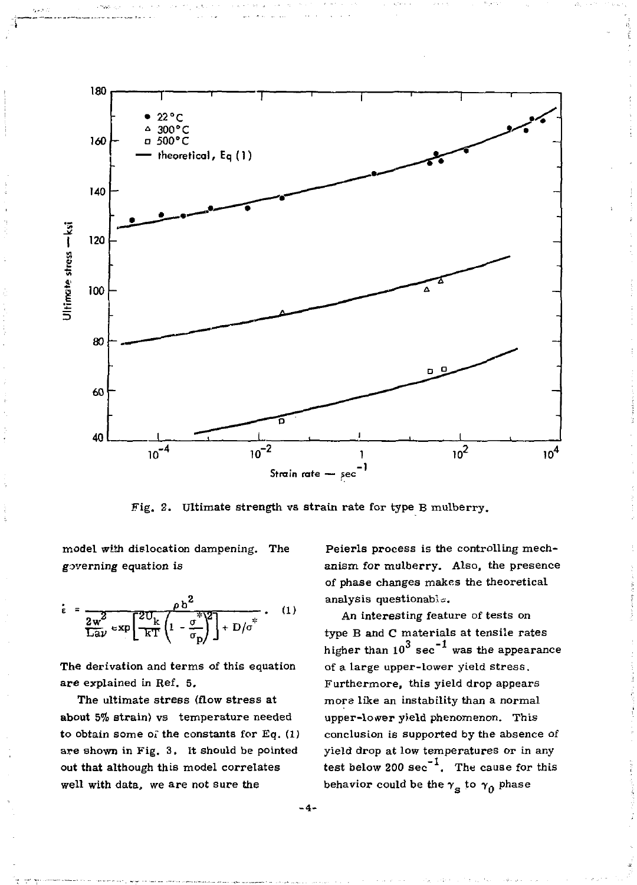

Fig. 2. Ultimate strength vs strain rate for type B mulberry.

model with dislocation dampening. The governing equation is

$$
\dot{\epsilon} = \frac{\rho b^2}{\frac{2w^2}{\text{Lav}} \exp\left[\frac{2U_k}{kT}\left(1 - \frac{\sigma^*}{\sigma_p}\right)^2\right] + D/\sigma^*} \qquad (1)
$$

The derivation and terms of this equation are explained in Ref. 5.

The ultimate stress (flow stress at about 5% strain) vs temperature needed to obtain some of the constants for Eq.  $(1)$ are shown in Fig. 3. It should be pointed out that although this model correlates well with data, we are not sure the

Peierls process is the controlling mechanism for mulberry. Also, the presence of phase changes makes the theoretical analysis questionable.

An interesting feature of tests on type B and C materials at tensile rates higher than  $10^3$  sec<sup>-1</sup> was the appearance of a large upper-lower yield stress. Furthermore, this yield drop appears mors like an instability than a normal upper-lower yield phenomenon. This conclusion is supported by the absence of yield drop at low temperatures or in any test below 200  $sec^{-1}$ . The cause for this behavior could be the  $\gamma_a$  to  $\gamma_0$  phase

**-4-**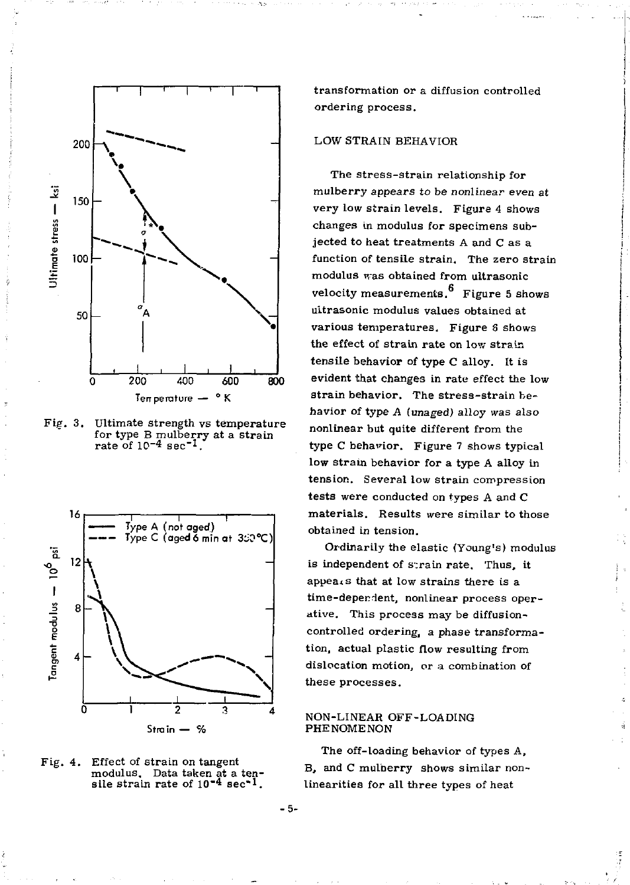

3. Ultimate strength vs temperature for type B mulberry at a strain<br>rate of 10<sup>-4</sup> sec<sup>-1</sup>. rate of  $10^{-4}$  sec<sup>-1</sup>





transformation or a diffusion controlled ordering process.

### LOW STRAIN BEHAVIOR

The stress-strain relationship for mulberry appears to be nonlinear even at very low strain levels. Figure 4 shows changes in modulus for specimens subjected to heat treatments A and C as a function of tensile strain. The zero strain modulus was obtained from ultrasonic velocity measurements.  $6$  Figure 5 shows ultrasonic modulus values obtained at various temperatures. Figure 8 shows the effect of strain rate on low strain tensile behavior of type C alloy. It is evident that changes in rate effect the low strain behavior. The stress-strain behavior of type A (unaged) alloy was also nonlinear but quite different from the type C behavior. Figure 7 shows typical low strain behavior for a type A alloy in tension. Several low strain compression tests were conducted on types A and C materials. Results were similar to those obtained in tension.

Ordinarily the elastic (Young's) modulus is independent of strain rate. Thus, it appeaxs that at low strains there is a time-dependent, nonlinear process operative. This process may be diffusioncontrolled ordering, a phase transformation, actual plastic flow resulting from dislocation motion, or a combination of these processes.

#### NON-LINEAR OFF-LOADING PHENOMENON

The off-loading behavior of types A, B, and C mulberry shows similar nonlinearities for all three types of heat

 $-5-$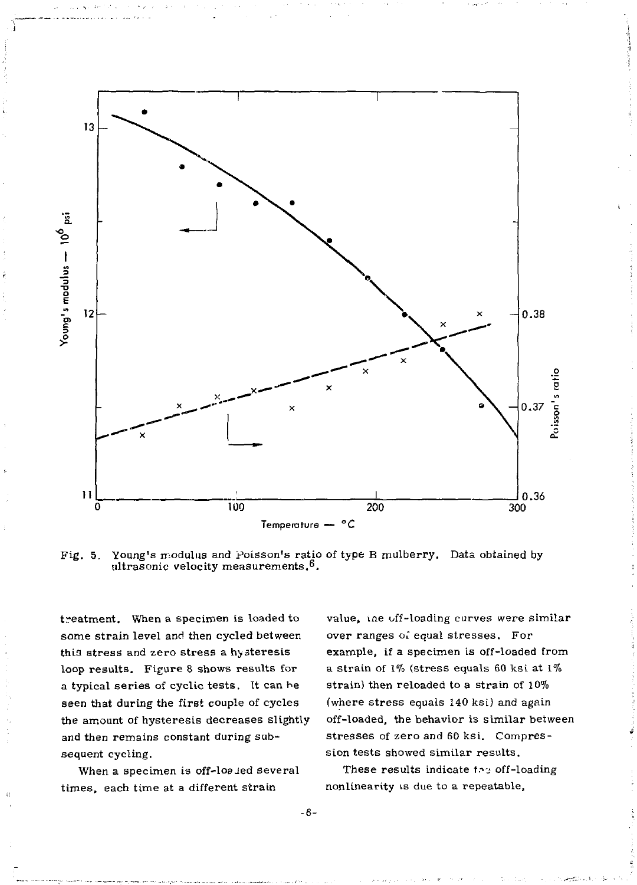

Fig. 5. Young's modulus and poisson's ratio of type B mulberry. Data obtained by ultrasonic velocity measurements. $^6.$ 

treatment. When a specimen is loaded to some strain level and then cycled between this stress and zero stress a hysteresis loop results. Figure 8 shows results for a typical series of cyclic tests. It can he seen that during the first couple of cycles the amount of hysteresis decreases slightly and then remains constant during subsequent cycling.

When a specimen is off-loa ied several times, each time at a different strain

value, ine off-loading curves were similar over ranges of equal stresses. For example, if a specimen is off-loaded from a strain of 1% (stress equals 60 ksi at 1% strain) then reloaded to a strain of 10% (where stress equals 140 ksi) and again off-loaded, the behavior is similar between stresses of zero and 60 ksi. Compression tests showed similar results.

These results indicate too off-loading nonlinearity is due to a repeatable,

- 6 -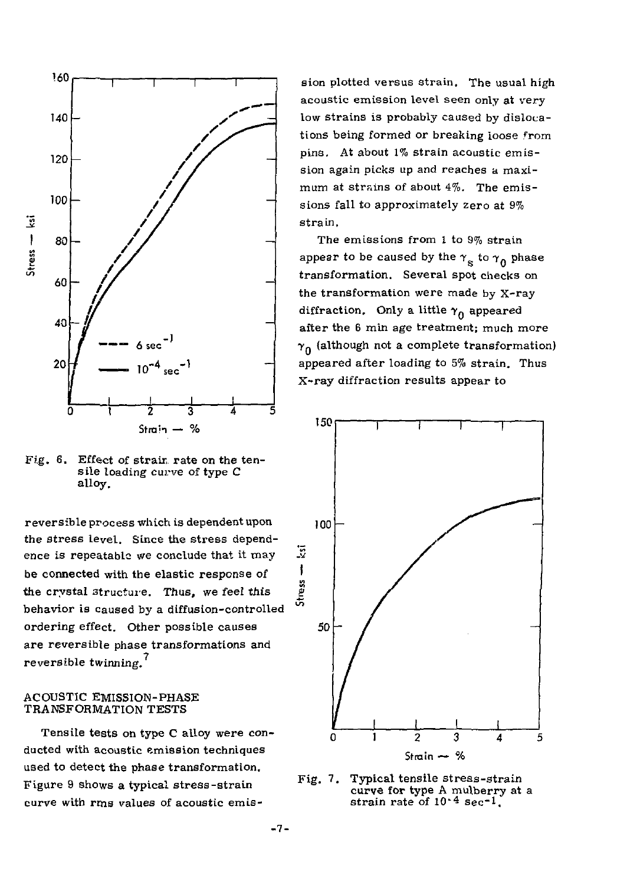



reversible process which is dependent upon the stress level. Since the stress dependence is repeatable we conclude that it may be connected with the elastic response of the crystal structure. Thus, we feel this behavior is caused by a diffusion-controlled ordering effect. Other possible causes are reversible phase transformations and reversible twinning.

#### ACOUSTIC EMISSION-PHASE TRANSFORMATION TESTS

Tensile tests on type C alloy were conducted with acoustic emission techniques used to detect the phase transformation. Figure 9 shows a typical stress-strain curve with rma values of acoustic emis-

sion plotted versus strain. The usual high acoustic emission level seen only at very low strains is probably caused by dislocations being formed or breaking loose from pins. At about 1% strain acoustic emission again picks up and reaches a maximum at strains of about 4%. The emissions fall to approximately zero at 9% strain.

The emissions from 1 to 9% strain appear to be caused by the  $\gamma_{\rm g}$  to  $\gamma_{\rm n}$  phase transformation. Several spot checks on the transformation were made by X-ray diffraction. Only a little  $\gamma_0$  appeared after the 6 min age treatment; much more  $\gamma_0$  (although not a complete transformation) appeared after loading to 5% strain. Thus X-ray diffraction results appear to



Fig. 7. Typical tensile stress-strain curve for type A mulberry at a strain rate of 10<sup>-4</sup> sec<sup>-1</sup>.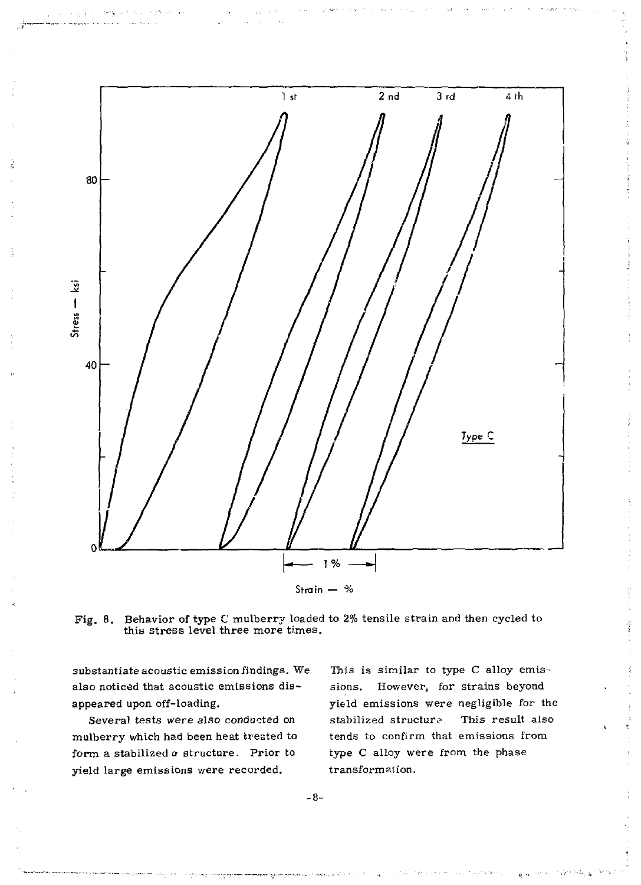

Fig. 8. Behavior of type C mulberry loaded to 2% tensile strain and then cycled to this stress level three more times.

substantiate acoustic emission findings. We also noticed that acoustic emissions disappeared upon off-loading.

Several tests were also conducted on mulberry which had been heat treated to form a stabilized *a* structure. Prior to yield large emissions were recorded.

This is similar to type C alloy emissions. However, for strains beyond yield emissions were negligible for the stabilized structure. This result also tends to confirm that emissions from type C alloy were from the phase transformation.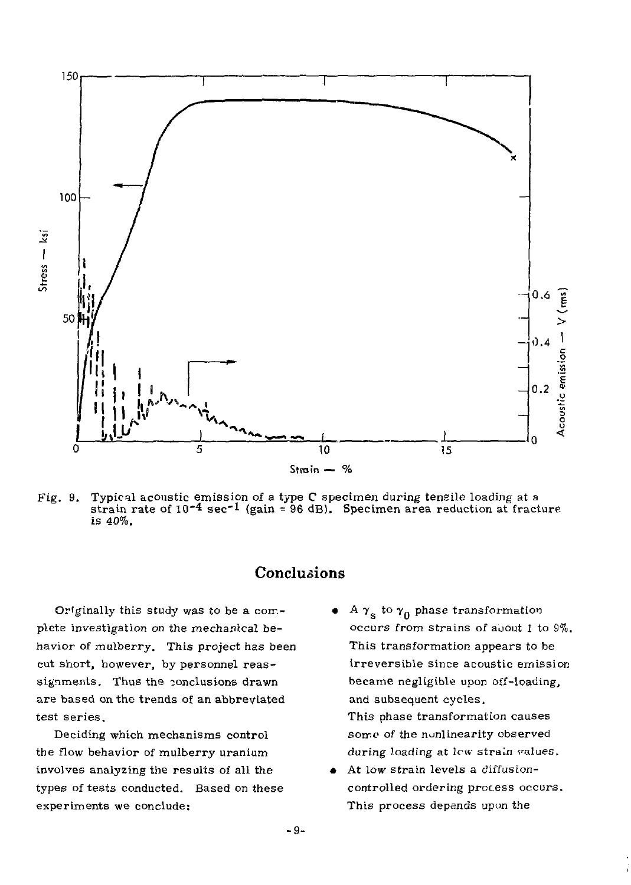

Fig. 9. Typical acoustic emission of a type C specimen during tensile loading at a strain rate of  $10^{-4}$  sec<sup>-1</sup> (gain = 96 dB). Specimen area reduction at fracture is 40%.

# Conclusions

Originally this study was to be a complete Investigation on the mechanical behavior of mulberry. This project has been cut short, however, by personnel reassignments. Thus the conclusions drawn are based on the trends of an abbreviated test series.

Deciding which mechanisms control the flow behavior of mulberry uranium involves analyzing the results of all the types of tests conducted. Based on these experiments we conclude:

- A  $\gamma_{\rm s}$  to  $\gamma_{\rm 0}$  phase transformation occurs from strains of aoout 1 to 9%. This transformation appears to be irreversible since acoustic emission became negligible upon off-loading, and subsequent cycles. This phase transformation causes some of the nunlinearity observed during loading at *lew* strain values.
- At low strain levels a diffusioncontrolled ordering process occurs. This process depends upon the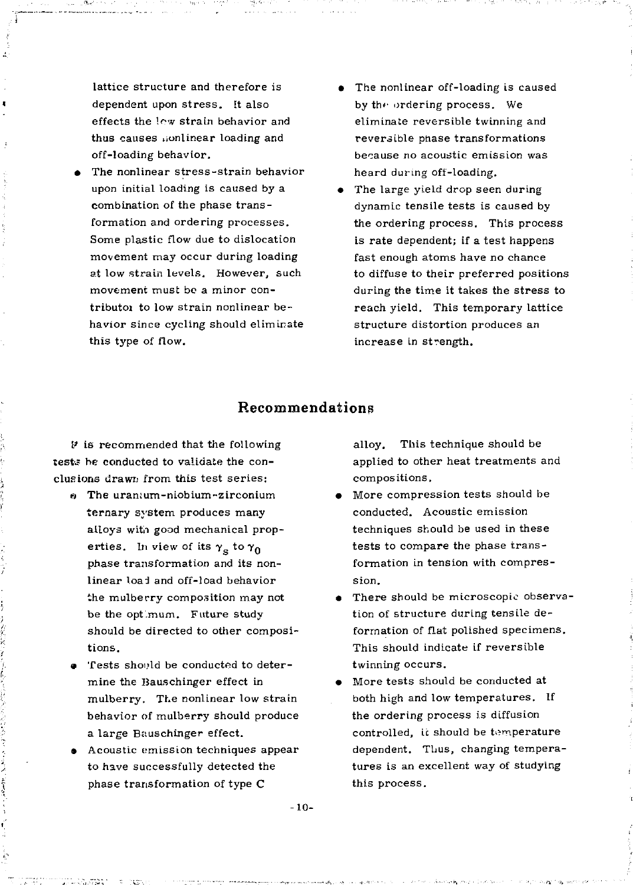lattice structure and therefore is dependent upon stress. It also effects the low strain behavior and thus causes iionlinear loading and off-loading behavior.

- The nonlinear stress-strain behavior upon initial loading is caused by a combination of the phase transformation and ordering processes. Some plastic flow due to dislocation movement may occur during loading at low strain levels. However, such movement must be a minor contributoi to low strain nonlinear behavior since cycling should eliminate this type of flow.
- The nonlinear off-loading is caused by the ordering process. We eliminate reversible twinning and reversible phase transformations because no acoustic emission was heard during off-loading.
- The large yield drop seen during dynamic tensile tests is caused by the ordering process. This process is rate dependent; if a test happens fast enough atoms have no chance to diffuse to their preferred positions during the time it takes the stress to reach yield. This temporary lattice structure distortion produces an increase in strength.

## Recommendations

*V* is recommended that the following *tests* be conducted to validate the conclusions drawn from this test series;

- $\theta$  The uranium-niobium-zirconium ternary system produces many alloys with good mechanical properties. In view of its  $\gamma_s$  to  $\gamma_0$ phase transformation and its nonlinear load and off-load behavior the mulberry composition may not be the opt mum. Future study should be directed to other compositions.
- a Tests should be conducted to determine the Bauschinger effect in mulberry. The nonlinear low strain behavior of mulberry should produce a large Bauschinger effect.
- Acoustic emission techniques appear to have successfully detected the phase transformation of type C

alloy. This technique should be applied to other heat treatments and compositions.

- More compression tests should be conducted. Acoustic emission techniques should be used in these tests to compare the phase transformation in tension with compression.
- There should be microscopic observation of structure during tensile deformation of flat polished specimens. This should indicate if reversible twinning occurs.
- More tests should be conducted at both high and low temperatures. If the ordering process is diffusion controlled, it should be temperature dependent. Thus, changing temperatures is an excellent way of studying this process.

-10-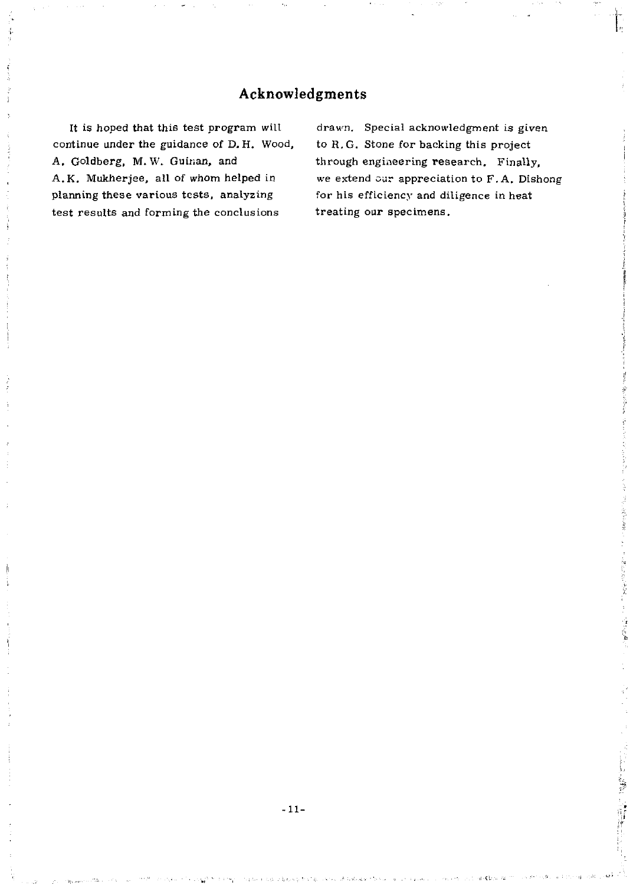## Acknowledgments

It is hoped that this test program will continue under the guidance of D. H. Wood, A. Goldberg, M. W. Guinan, and A.K. Mukherjee, all of whom helped in planning these various tests, analyzing test results and forming the conclusions

drawn. Special acknowledgment is given to R.G. Stone for backing this project through engineering research. Finally, we extend our appreciation to F.A. Dishong for his efficiency and diligence in heat treating our specimens.

医血管 计电路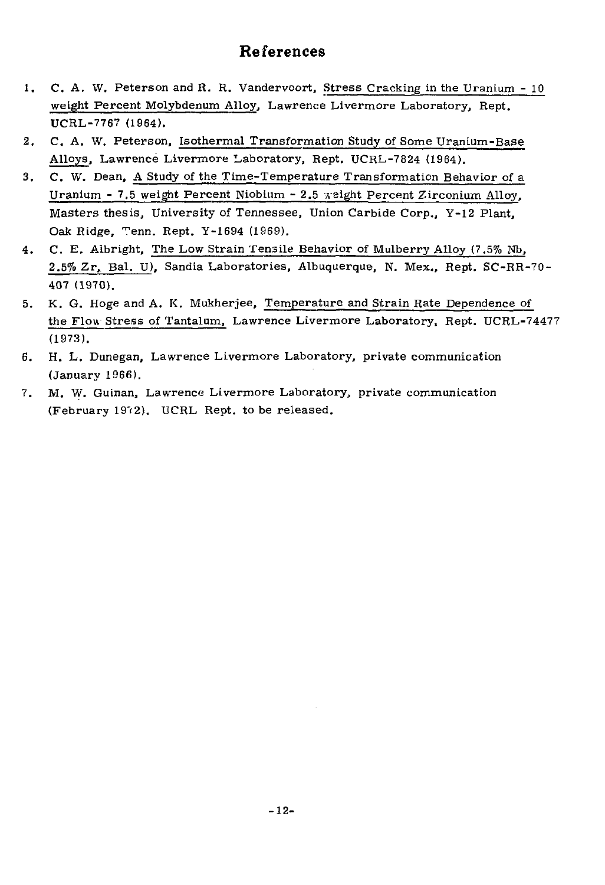## References

- 1. C. A. W. Peterson and R. R. Vandervoort, Stress Cracking in the Uranium 10 weight Percent Molybdenum Alloy, Lawrence Livermore Laboratory, Rept. UCRL-7767 (1964).
- 2. C. A. W. Peterson, Isothermal Transformation Study of Some Uranium-Base Alloys, Lawrence Livermore Laboratory, Rept. UCRL-7824 (1964).
- 3. C. W. Dean, A Study of the Time-Temperature Transformation Behavior of a Uranium - 7.5 weight Percent Niobium - 2.5 weight Percent Zirconium Alloy, Masters thesis, University of Tennessee, Union Carbide Corp., Y-12 Plant, Oak Ridge, Tenn. Rept. Y-1694 (1969).
- 4 . C. E. Albright, The Low Strain Tensile Behavior of Mulberry Alloy (7.5% Nb, 2.5% Zr, Bal. U), Sandia Laboratories, Albuquerque, N. Mex., Rept. SC-RR-70- 407 (1970).
- 5. K. G. Hoge and A. K. Mukherjee, Temperature and Strain Rate Dependence of the Flow Stress of Tantalum, Lawrence Livermore Laboratory, Rept. UCRL-74477 (1973).
- 6. H. L. Dunegan, Lawrence Livermore Laboratory, private communication (January 1966).
- 7. M. W. Guinan, Lawrence Livermore Laboratory, private communication (February 1972). UCRL Rept. to be released.